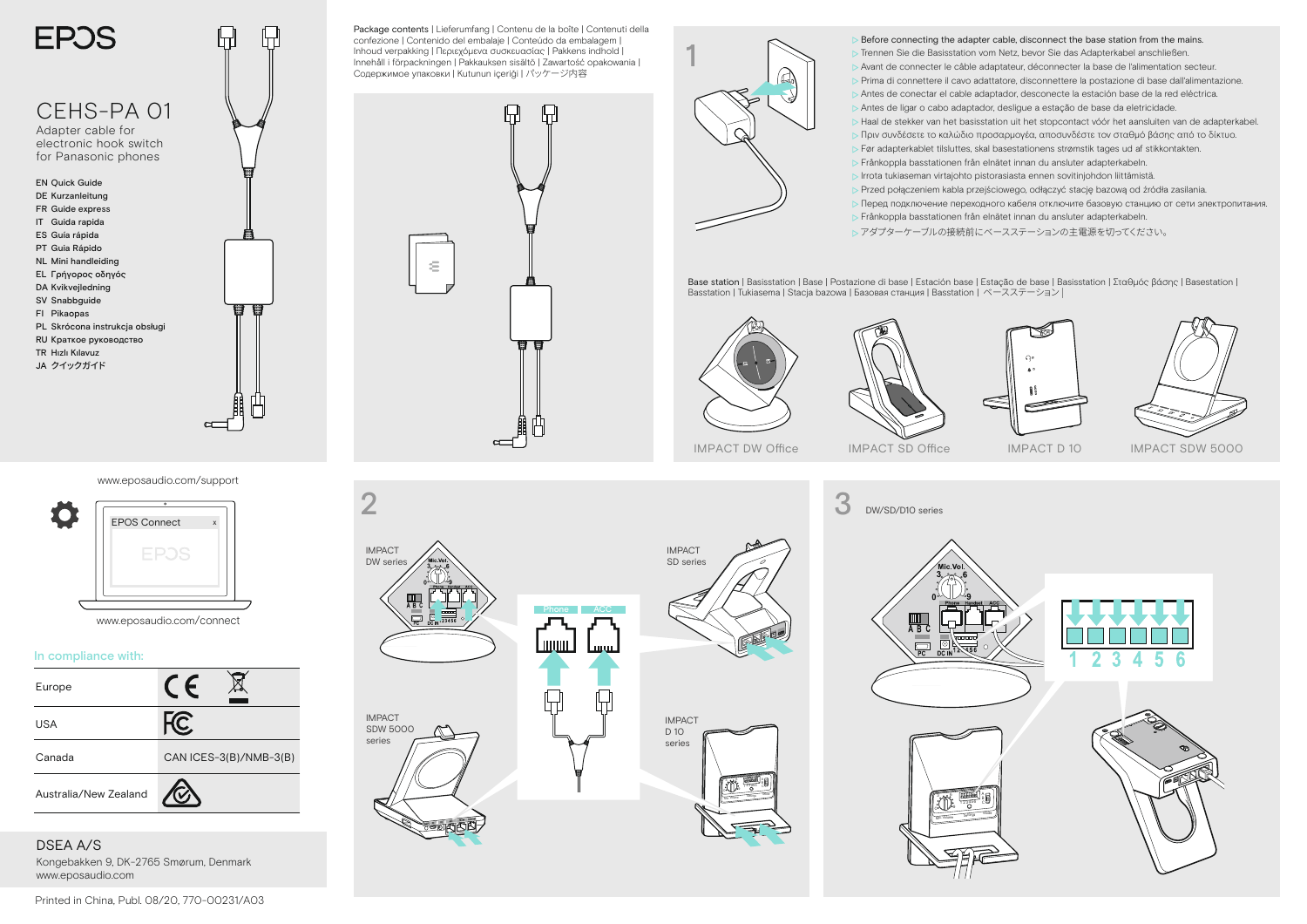